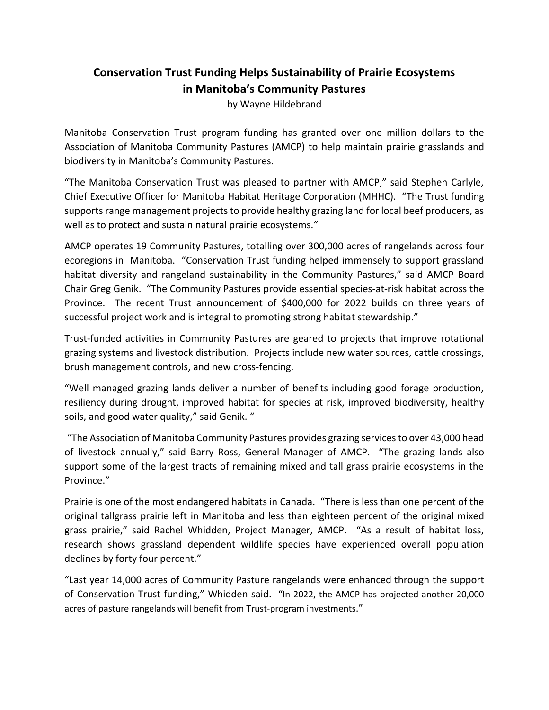## **Conservation Trust Funding Helps Sustainability of Prairie Ecosystems in Manitoba's Community Pastures**

by Wayne Hildebrand

Manitoba Conservation Trust program funding has granted over one million dollars to the Association of Manitoba Community Pastures (AMCP) to help maintain prairie grasslands and biodiversity in Manitoba's Community Pastures.

"The Manitoba Conservation Trust was pleased to partner with AMCP," said Stephen Carlyle, Chief Executive Officer for Manitoba Habitat Heritage Corporation (MHHC). "The Trust funding supports range management projects to provide healthy grazing land for local beef producers, as well as to protect and sustain natural prairie ecosystems."

AMCP operates 19 Community Pastures, totalling over 300,000 acres of rangelands across four ecoregions in Manitoba. "Conservation Trust funding helped immensely to support grassland habitat diversity and rangeland sustainability in the Community Pastures," said AMCP Board Chair Greg Genik. "The Community Pastures provide essential species-at-risk habitat across the Province. The recent Trust announcement of \$400,000 for 2022 builds on three years of successful project work and is integral to promoting strong habitat stewardship."

Trust-funded activities in Community Pastures are geared to projects that improve rotational grazing systems and livestock distribution. Projects include new water sources, cattle crossings, brush management controls, and new cross-fencing.

"Well managed grazing lands deliver a number of benefits including good forage production, resiliency during drought, improved habitat for species at risk, improved biodiversity, healthy soils, and good water quality," said Genik. "

"The Association of Manitoba Community Pastures provides grazing servicesto over 43,000 head of livestock annually," said Barry Ross, General Manager of AMCP. "The grazing lands also support some of the largest tracts of remaining mixed and tall grass prairie ecosystems in the Province."

Prairie is one of the most endangered habitats in Canada. "There is less than one percent of the original tallgrass prairie left in Manitoba and less than eighteen percent of the original mixed grass prairie," said Rachel Whidden, Project Manager, AMCP. "As a result of habitat loss, research shows grassland dependent wildlife species have experienced overall population declines by forty four percent."

"Last year 14,000 acres of Community Pasture rangelands were enhanced through the support of Conservation Trust funding," Whidden said. "In 2022, the AMCP has projected another 20,000 acres of pasture rangelands will benefit from Trust-program investments."